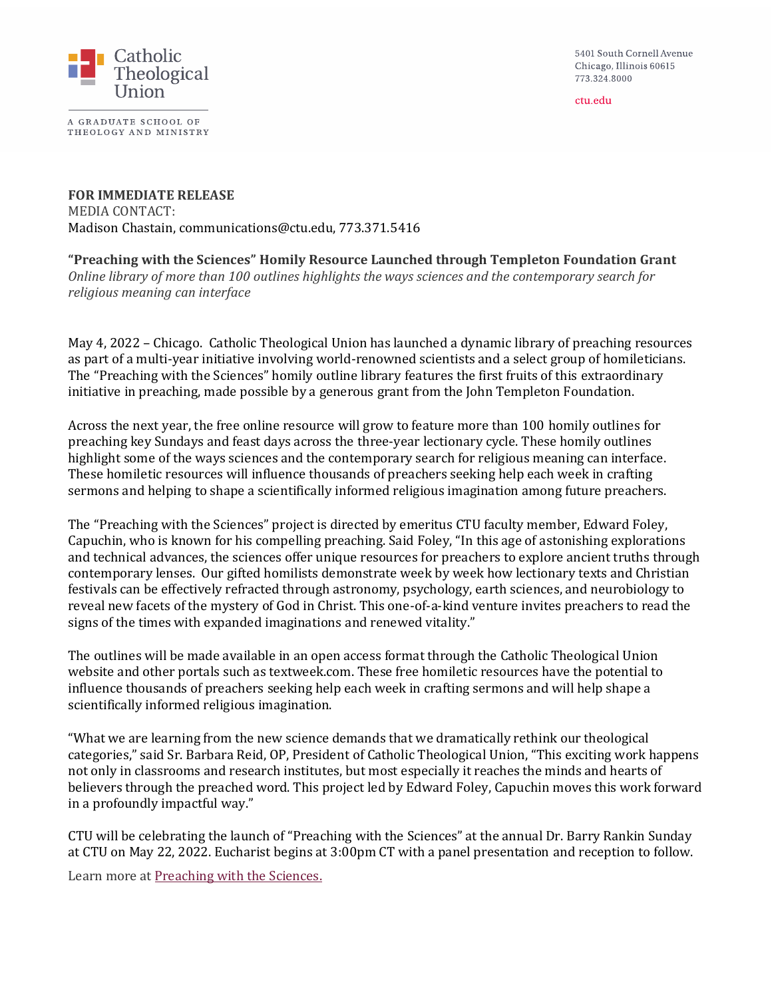5401 South Cornell Avenue Chicago, Illinois 60615 773.324.8000

ctu.edu



A GRADUATE SCHOOL OF THEOLOGY AND MINISTRY

**FOR IMMEDIATE RELEASE** MEDIA CONTACT: Madison Chastain, communications@ctu.edu, 773.371.5416

**"Preaching with the Sciences" Homily Resource Launched through Templeton Foundation Grant** *Online library of more than 100 outlines highlights the ways sciences and the contemporary search for religious meaning can interface*

May 4, 2022 – Chicago. Catholic Theological Union has launched a dynamic library of preaching resources as part of a multi-year initiative involving world-renowned scientists and a select group of homileticians. The "Preaching with the Sciences" homily outline library features the first fruits of this extraordinary initiative in preaching, made possible by a generous grant from the John Templeton Foundation.

Across the next year, the free online resource will grow to feature more than 100 homily outlines for preaching key Sundays and feast days across the three-year lectionary cycle. These homily outlines highlight some of the ways sciences and the contemporary search for religious meaning can interface. These homiletic resources will influence thousands of preachers seeking help each week in crafting sermons and helping to shape a scientifically informed religious imagination among future preachers.

The "Preaching with the Sciences" project is directed by emeritus CTU faculty member, Edward Foley, Capuchin, who is known for his compelling preaching. Said Foley, "In this age of astonishing explorations and technical advances, the sciences offer unique resources for preachers to explore ancient truths through contemporary lenses. Our gifted homilists demonstrate week by week how lectionary texts and Christian festivals can be effectively refracted through astronomy, psychology, earth sciences, and neurobiology to reveal new facets of the mystery of God in Christ. This one-of-a-kind venture invites preachers to read the signs of the times with expanded imaginations and renewed vitality."

The outlines will be made available in an open access format through the Catholic Theological Union website and other portals such as textweek.com. These free homiletic resources have the potential to influence thousands of preachers seeking help each week in crafting sermons and will help shape a scientifically informed religious imagination.

"What we are learning from the new science demands that we dramatically rethink our theological categories," said Sr. Barbara Reid, OP, President of Catholic Theological Union, "This exciting work happens not only in classrooms and research institutes, but most especially it reaches the minds and hearts of believers through the preached word. This project led by Edward Foley, Capuchin moves this work forward in a profoundly impactful way."

CTU will be celebrating the launch of "Preaching with the Sciences" at the annual Dr. Barry Rankin Sunday at CTU on May 22, 2022. Eucharist begins at 3:00pm CT with a panel presentation and reception to follow.

Learn more a[t Preaching with the Sciences.](https://ctu.edu/initiatives/preaching-outline-preview/)